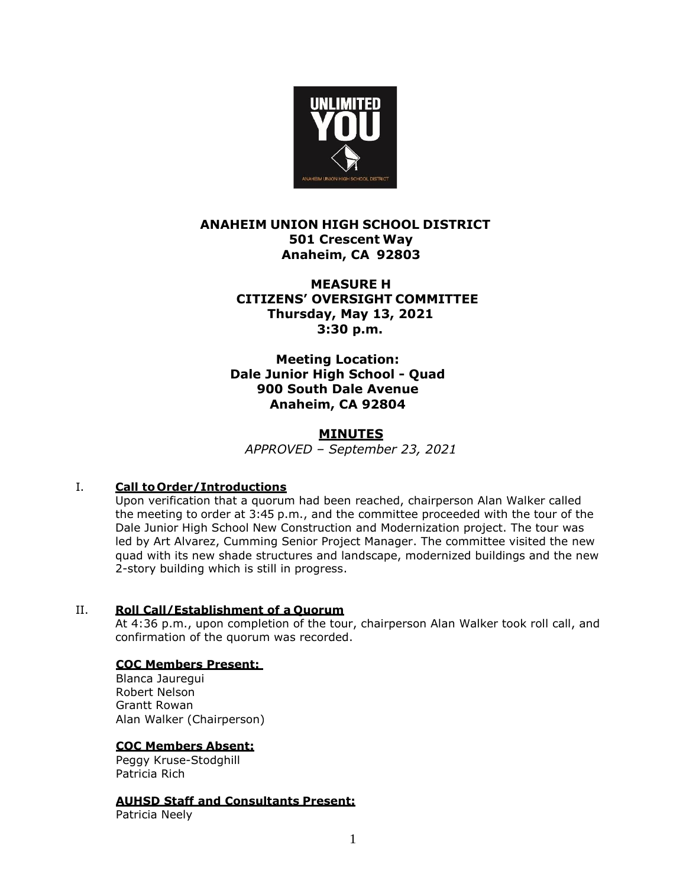

# **ANAHEIM UNION HIGH SCHOOL DISTRICT 501 Crescent Way Anaheim, CA 92803**

# **MEASURE H CITIZENS' OVERSIGHT COMMITTEE Thursday, May 13, 2021 3:30 p.m.**

# **Meeting Location: Dale Junior High School - Quad 900 South Dale Avenue Anaheim, CA 92804**

# **MINUTES**

*APPROVED – September 23, 2021*

# I. **Call to Order/Introductions**

Upon verification that a quorum had been reached, chairperson Alan Walker called the meeting to order at 3:45 p.m., and the committee proceeded with the tour of the Dale Junior High School New Construction and Modernization project. The tour was led by Art Alvarez, Cumming Senior Project Manager. The committee visited the new quad with its new shade structures and landscape, modernized buildings and the new 2-story building which is still in progress.

### II. **Roll Call/Establishment of a Quorum**

At 4:36 p.m., upon completion of the tour, chairperson Alan Walker took roll call, and confirmation of the quorum was recorded.

### **COC Members Present:**

Blanca Jauregui Robert Nelson Grantt Rowan Alan Walker (Chairperson)

### **COC Members Absent:**

Peggy Kruse-Stodghill Patricia Rich

# **AUHSD Staff and Consultants Present:**

Patricia Neely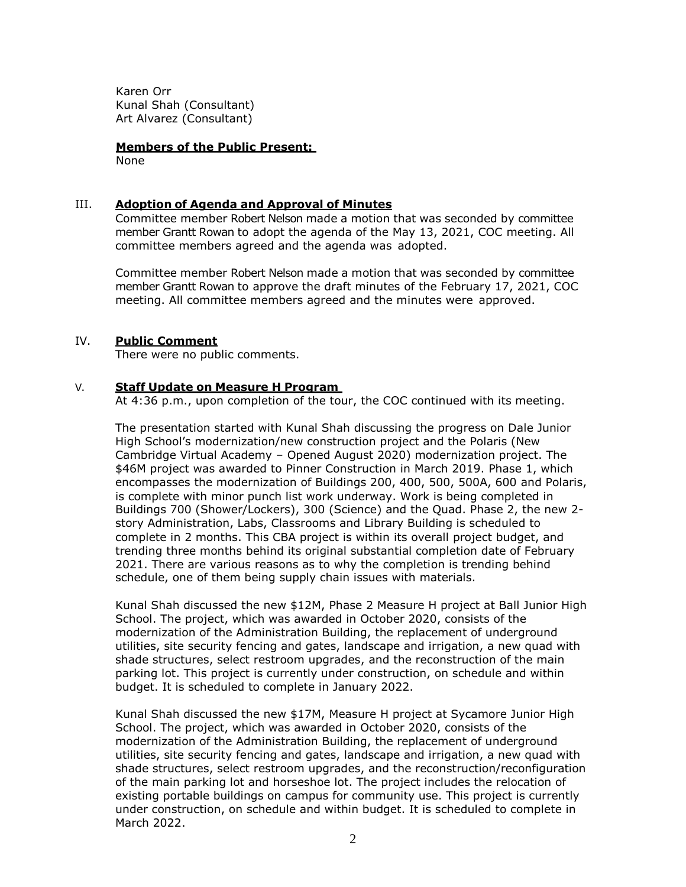Karen Orr Kunal Shah (Consultant) Art Alvarez (Consultant)

### **Members of the Public Present:**

None

#### III. **Adoption of Agenda and Approval of Minutes**

Committee member Robert Nelson made a motion that was seconded by committee member Grantt Rowan to adopt the agenda of the May 13, 2021, COC meeting. All committee members agreed and the agenda was adopted.

Committee member Robert Nelson made a motion that was seconded by committee member Grantt Rowan to approve the draft minutes of the February 17, 2021, COC meeting. All committee members agreed and the minutes were approved.

#### IV. **Public Comment**

There were no public comments.

#### V. **Staff Update on Measure H Program**

At 4:36 p.m., upon completion of the tour, the COC continued with its meeting.

The presentation started with Kunal Shah discussing the progress on Dale Junior High School's modernization/new construction project and the Polaris (New Cambridge Virtual Academy – Opened August 2020) modernization project. The \$46M project was awarded to Pinner Construction in March 2019. Phase 1, which encompasses the modernization of Buildings 200, 400, 500, 500A, 600 and Polaris, is complete with minor punch list work underway. Work is being completed in Buildings 700 (Shower/Lockers), 300 (Science) and the Quad. Phase 2, the new 2 story Administration, Labs, Classrooms and Library Building is scheduled to complete in 2 months. This CBA project is within its overall project budget, and trending three months behind its original substantial completion date of February 2021. There are various reasons as to why the completion is trending behind schedule, one of them being supply chain issues with materials.

Kunal Shah discussed the new \$12M, Phase 2 Measure H project at Ball Junior High School. The project, which was awarded in October 2020, consists of the modernization of the Administration Building, the replacement of underground utilities, site security fencing and gates, landscape and irrigation, a new quad with shade structures, select restroom upgrades, and the reconstruction of the main parking lot. This project is currently under construction, on schedule and within budget. It is scheduled to complete in January 2022.

Kunal Shah discussed the new \$17M, Measure H project at Sycamore Junior High School. The project, which was awarded in October 2020, consists of the modernization of the Administration Building, the replacement of underground utilities, site security fencing and gates, landscape and irrigation, a new quad with shade structures, select restroom upgrades, and the reconstruction/reconfiguration of the main parking lot and horseshoe lot. The project includes the relocation of existing portable buildings on campus for community use. This project is currently under construction, on schedule and within budget. It is scheduled to complete in March 2022.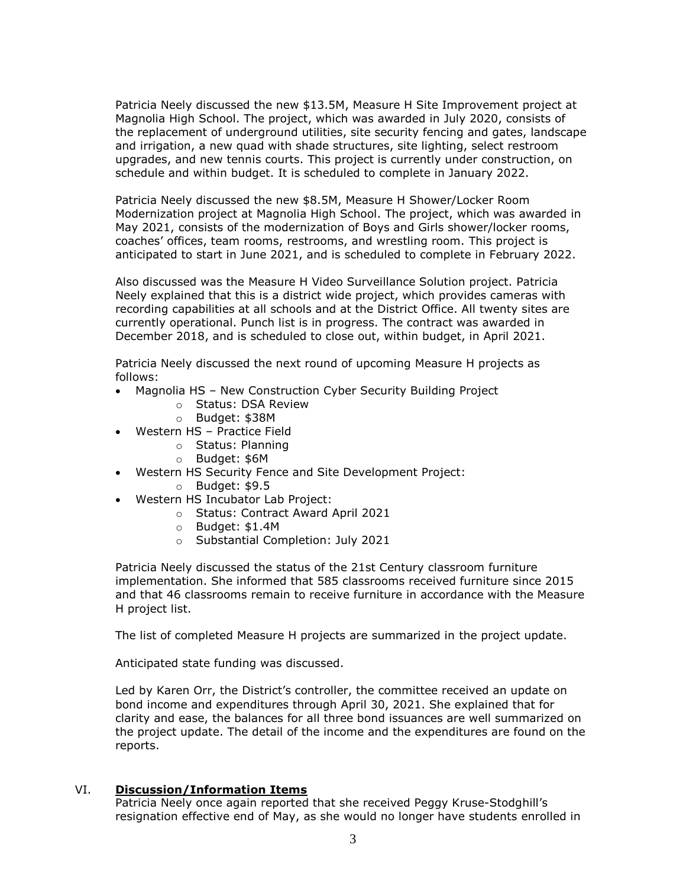Patricia Neely discussed the new \$13.5M, Measure H Site Improvement project at Magnolia High School. The project, which was awarded in July 2020, consists of the replacement of underground utilities, site security fencing and gates, landscape and irrigation, a new quad with shade structures, site lighting, select restroom upgrades, and new tennis courts. This project is currently under construction, on schedule and within budget. It is scheduled to complete in January 2022.

Patricia Neely discussed the new \$8.5M, Measure H Shower/Locker Room Modernization project at Magnolia High School. The project, which was awarded in May 2021, consists of the modernization of Boys and Girls shower/locker rooms, coaches' offices, team rooms, restrooms, and wrestling room. This project is anticipated to start in June 2021, and is scheduled to complete in February 2022.

Also discussed was the Measure H Video Surveillance Solution project. Patricia Neely explained that this is a district wide project, which provides cameras with recording capabilities at all schools and at the District Office. All twenty sites are currently operational. Punch list is in progress. The contract was awarded in December 2018, and is scheduled to close out, within budget, in April 2021.

Patricia Neely discussed the next round of upcoming Measure H projects as follows:

- Magnolia HS New Construction Cyber Security Building Project
	- o Status: DSA Review
	- o Budget: \$38M
- Western HS Practice Field
	- o Status: Planning
	- o Budget: \$6M
- Western HS Security Fence and Site Development Project:
	- o Budget: \$9.5
- Western HS Incubator Lab Project:
	- o Status: Contract Award April 2021
		- o Budget: \$1.4M
		- o Substantial Completion: July 2021

Patricia Neely discussed the status of the 21st Century classroom furniture implementation. She informed that 585 classrooms received furniture since 2015 and that 46 classrooms remain to receive furniture in accordance with the Measure H project list.

The list of completed Measure H projects are summarized in the project update.

Anticipated state funding was discussed.

Led by Karen Orr, the District's controller, the committee received an update on bond income and expenditures through April 30, 2021. She explained that for clarity and ease, the balances for all three bond issuances are well summarized on the project update. The detail of the income and the expenditures are found on the reports.

### VI. **Discussion/Information Items**

Patricia Neely once again reported that she received Peggy Kruse-Stodghill's resignation effective end of May, as she would no longer have students enrolled in